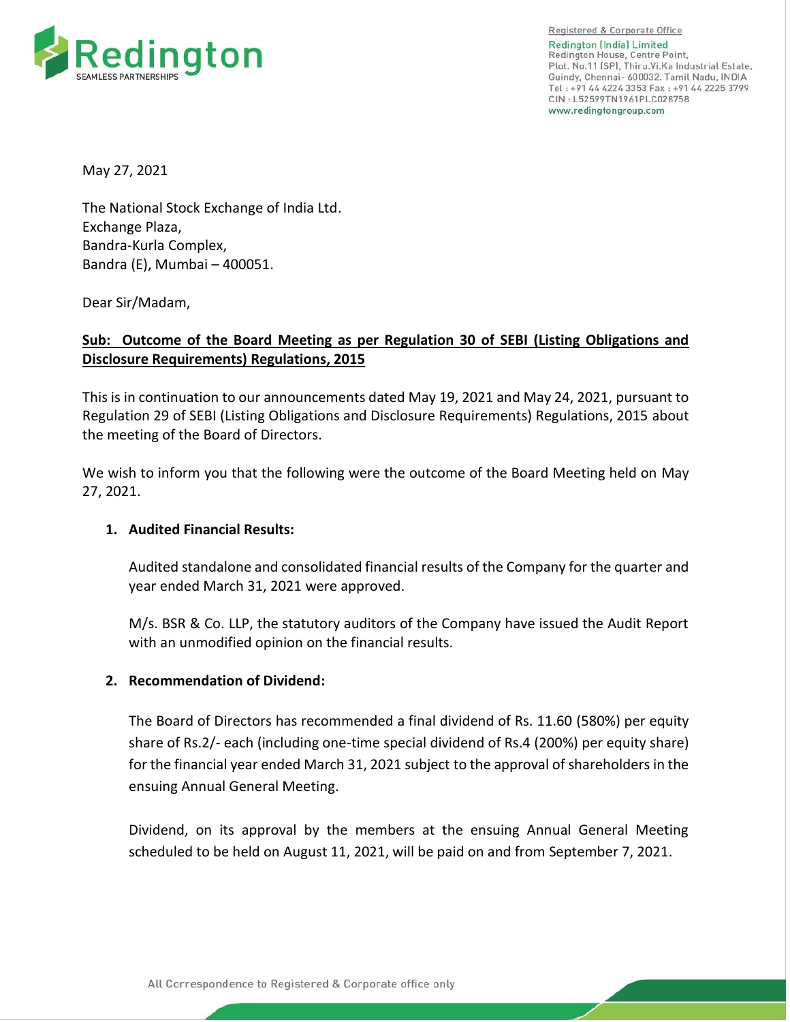

Registered & Corporate Office Redington (India) Limited Redington House, Centre Point,<br>Plot. No.11 (SP), Thiru. Vi. Ka Industrial Estate, Guindy, Chennai- 600032. Tamil Nadu, INDIA Tel: +91 44 4224 3353 Fax: +91 44 2225 3799 CIN: L52599TN1961PLC028758 www.redingtongroup.com

May 27, 2021

The National Stock Exchange of India Ltd. Exchange Plaza, Bandra-Kurla Complex, Bandra (E), Mumbai – 400051.

Dear Sir/Madam,

## **Sub: Outcome of the Board Meeting as per Regulation 30 of SEBI (Listing Obligations and Disclosure Requirements) Regulations, 2015**

This is in continuation to our announcements dated May 19, 2021 and May 24, 2021, pursuant to Regulation 29 of SEBI (Listing Obligations and Disclosure Requirements) Regulations, 2015 about the meeting of the Board of Directors.

We wish to inform you that the following were the outcome of the Board Meeting held on May 27, 2021.

## **1. Audited Financial Results:**

Audited standalone and consolidated financial results of the Company for the quarter and year ended March 31, 2021 were approved.

M/s. BSR & Co. LLP, the statutory auditors of the Company have issued the Audit Report with an unmodified opinion on the financial results.

## **2. Recommendation of Dividend:**

The Board of Directors has recommended a final dividend of Rs. 11.60 (580%) per equity share of Rs.2/- each (including one-time special dividend of Rs.4 (200%) per equity share) for the financial year ended March 31, 2021 subject to the approval of shareholders in the ensuing Annual General Meeting.

Dividend, on its approval by the members at the ensuing Annual General Meeting scheduled to be held on August 11, 2021, will be paid on and from September 7, 2021.